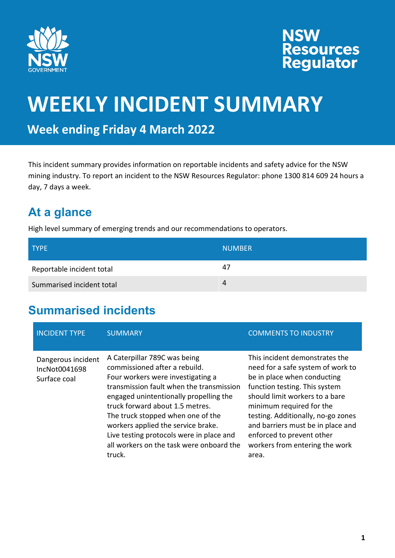

# **NSW<br>Resources<br>Regulator**

### **WEEKLY INCIDENT SUMMARY**

**Week ending Friday 4 March 2022**

This incident summary provides information on reportable incidents and safety advice for the NSW mining industry. To report an incident to the NSW Resources Regulator: phone 1300 814 609 24 hours a day, 7 days a week.

### **At a glance**

High level summary of emerging trends and our recommendations to operators.

| <b>TYPE</b>               | <b>NUMBER</b> |
|---------------------------|---------------|
| Reportable incident total | 47            |
| Summarised incident total | Δ             |

### **Summarised incidents**

| <b>INCIDENT TYPE</b>                                | <b>SUMMARY</b>                                                                                                                                                                                                                                                                                                                                                                                           | <b>COMMENTS TO INDUSTRY</b>                                                                                                                                                                                                                                                                                                                          |
|-----------------------------------------------------|----------------------------------------------------------------------------------------------------------------------------------------------------------------------------------------------------------------------------------------------------------------------------------------------------------------------------------------------------------------------------------------------------------|------------------------------------------------------------------------------------------------------------------------------------------------------------------------------------------------------------------------------------------------------------------------------------------------------------------------------------------------------|
| Dangerous incident<br>IncNot0041698<br>Surface coal | A Caterpillar 789C was being<br>commissioned after a rebuild.<br>Four workers were investigating a<br>transmission fault when the transmission<br>engaged unintentionally propelling the<br>truck forward about 1.5 metres.<br>The truck stopped when one of the<br>workers applied the service brake.<br>Live testing protocols were in place and<br>all workers on the task were onboard the<br>truck. | This incident demonstrates the<br>need for a safe system of work to<br>be in place when conducting<br>function testing. This system<br>should limit workers to a bare<br>minimum required for the<br>testing. Additionally, no-go zones<br>and barriers must be in place and<br>enforced to prevent other<br>workers from entering the work<br>area. |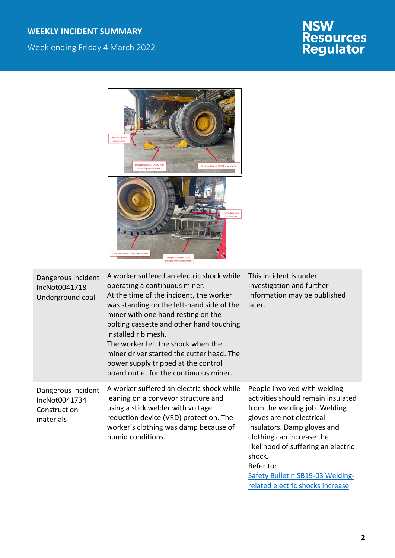#### **WEEKLY INCIDENT SUMMARY**

Week ending Friday 4 March 2022

# **NSW<br>Resources<br>Regulator**



| Dangerous incident<br>IncNot0041718<br>Underground coal          | A worker suffered an electric shock while<br>operating a continuous miner.<br>At the time of the incident, the worker<br>was standing on the left-hand side of the<br>miner with one hand resting on the<br>bolting cassette and other hand touching<br>installed rib mesh.<br>The worker felt the shock when the<br>miner driver started the cutter head. The<br>power supply tripped at the control<br>board outlet for the continuous miner. | This incident is under<br>investigation and further<br>information may be published<br>later.                                                                                                                                                                                                  |
|------------------------------------------------------------------|-------------------------------------------------------------------------------------------------------------------------------------------------------------------------------------------------------------------------------------------------------------------------------------------------------------------------------------------------------------------------------------------------------------------------------------------------|------------------------------------------------------------------------------------------------------------------------------------------------------------------------------------------------------------------------------------------------------------------------------------------------|
| Dangerous incident<br>IncNot0041734<br>Construction<br>materials | A worker suffered an electric shock while<br>leaning on a conveyor structure and<br>using a stick welder with voltage<br>reduction device (VRD) protection. The<br>worker's clothing was damp because of<br>humid conditions.                                                                                                                                                                                                                   | People involved with welding<br>activities should remain insulated<br>from the welding job. Welding<br>gloves are not electrical<br>insulators. Damp gloves and<br>clothing can increase the<br>likelihood of suffering an electric<br>shock.<br>Refer to:<br>Safety Bulletin SB19-03 Welding- |

[related electric shocks increase](https://www.resourcesregulator.nsw.gov.au/sites/default/files/documents/sb19-03-welding-related-electric-shocks-increase.pdf)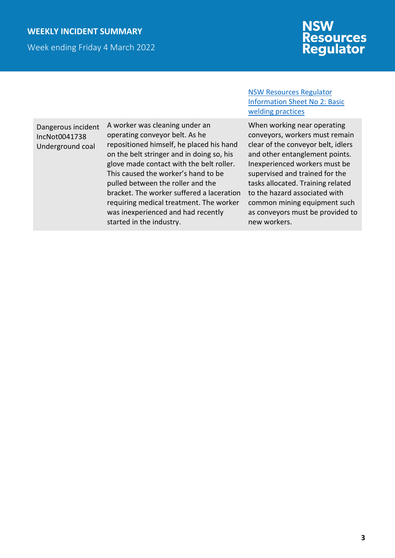#### **WEEKLY INCIDENT SUMMARY**

Week ending Friday 4 March 2022

## **NSW<br>Resources<br>Regulator**

Dangerous incident IncNot0041738 Underground coal

A worker was cleaning under an operating conveyor belt. As he repositioned himself, he placed his hand on the belt stringer and in doing so, his glove made contact with the belt roller. This caused the worker's hand to be pulled between the roller and the bracket. The worker suffered a laceration requiring medical treatment. The worker was inexperienced and had recently started in the industry.

#### [NSW Resources Regulator](https://www.resourcesregulator.nsw.gov.au/sites/default/files/documents/ees-info-sheet-no-2-basic-electrical-welding-practices.pdf)  [Information Sheet No](https://www.resourcesregulator.nsw.gov.au/sites/default/files/documents/ees-info-sheet-no-2-basic-electrical-welding-practices.pdf) 2: Basic [welding practices](https://www.resourcesregulator.nsw.gov.au/sites/default/files/documents/ees-info-sheet-no-2-basic-electrical-welding-practices.pdf)

When working near operating conveyors, workers must remain clear of the conveyor belt, idlers and other entanglement points. Inexperienced workers must be supervised and trained for the tasks allocated. Training related to the hazard associated with common mining equipment such as conveyors must be provided to new workers.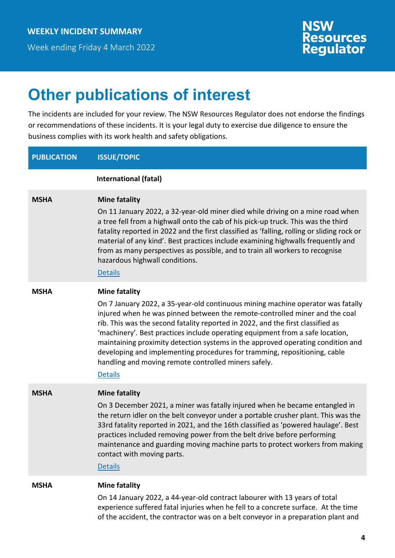Week ending Friday 4 March 2022



### **Other publications of interest**

The incidents are included for your review. The NSW Resources Regulator does not endorse the findings or recommendations of these incidents. It is your legal duty to exercise due diligence to ensure the business complies with its work health and safety obligations.

#### **PUBLICATION ISSUE/TOPIC**

|             | International (fatal)                                                                                                                                                                                                                                                                                                                                                                                                                                                                                                                                                                                |
|-------------|------------------------------------------------------------------------------------------------------------------------------------------------------------------------------------------------------------------------------------------------------------------------------------------------------------------------------------------------------------------------------------------------------------------------------------------------------------------------------------------------------------------------------------------------------------------------------------------------------|
| <b>MSHA</b> | <b>Mine fatality</b><br>On 11 January 2022, a 32-year-old miner died while driving on a mine road when<br>a tree fell from a highwall onto the cab of his pick-up truck. This was the third<br>fatality reported in 2022 and the first classified as 'falling, rolling or sliding rock or<br>material of any kind'. Best practices include examining highwalls frequently and<br>from as many perspectives as possible, and to train all workers to recognise<br>hazardous highwall conditions.<br><b>Details</b>                                                                                    |
| <b>MSHA</b> | <b>Mine fatality</b><br>On 7 January 2022, a 35-year-old continuous mining machine operator was fatally<br>injured when he was pinned between the remote-controlled miner and the coal<br>rib. This was the second fatality reported in 2022, and the first classified as<br>'machinery'. Best practices include operating equipment from a safe location,<br>maintaining proximity detection systems in the approved operating condition and<br>developing and implementing procedures for tramming, repositioning, cable<br>handling and moving remote controlled miners safely.<br><b>Details</b> |
| <b>MSHA</b> | <b>Mine fatality</b><br>On 3 December 2021, a miner was fatally injured when he became entangled in<br>the return idler on the belt conveyor under a portable crusher plant. This was the<br>33rd fatality reported in 2021, and the 16th classified as 'powered haulage'. Best<br>practices included removing power from the belt drive before performing<br>maintenance and guarding moving machine parts to protect workers from making<br>contact with moving parts.<br><b>Details</b>                                                                                                           |
| <b>MSHA</b> | <b>Mine fatality</b><br>On 14 January 2022, a 44-year-old contract labourer with 13 years of total<br>experience suffered fatal injuries when he fell to a concrete surface. At the time<br>of the accident, the contractor was on a belt conveyor in a preparation plant and                                                                                                                                                                                                                                                                                                                        |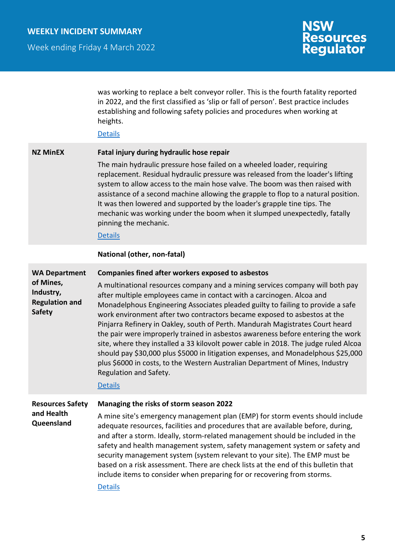Week ending Friday 4 March 2022

# **NSW<br>Resources<br>Regulator**

|                                                                                          | was working to replace a belt conveyor roller. This is the fourth fatality reported<br>in 2022, and the first classified as 'slip or fall of person'. Best practice includes<br>establishing and following safety policies and procedures when working at<br>heights.<br><b>Details</b>                                                                                                                                                                                                                                                                                                                                                                                                                                                                                                                                                                        |
|------------------------------------------------------------------------------------------|----------------------------------------------------------------------------------------------------------------------------------------------------------------------------------------------------------------------------------------------------------------------------------------------------------------------------------------------------------------------------------------------------------------------------------------------------------------------------------------------------------------------------------------------------------------------------------------------------------------------------------------------------------------------------------------------------------------------------------------------------------------------------------------------------------------------------------------------------------------|
| <b>NZ MinEX</b>                                                                          | Fatal injury during hydraulic hose repair<br>The main hydraulic pressure hose failed on a wheeled loader, requiring<br>replacement. Residual hydraulic pressure was released from the loader's lifting<br>system to allow access to the main hose valve. The boom was then raised with<br>assistance of a second machine allowing the grapple to flop to a natural position.<br>It was then lowered and supported by the loader's grapple tine tips. The<br>mechanic was working under the boom when it slumped unexpectedly, fatally<br>pinning the mechanic.<br><b>Details</b>                                                                                                                                                                                                                                                                               |
|                                                                                          | National (other, non-fatal)                                                                                                                                                                                                                                                                                                                                                                                                                                                                                                                                                                                                                                                                                                                                                                                                                                    |
| <b>WA Department</b><br>of Mines,<br>Industry,<br><b>Regulation and</b><br><b>Safety</b> | <b>Companies fined after workers exposed to asbestos</b><br>A multinational resources company and a mining services company will both pay<br>after multiple employees came in contact with a carcinogen. Alcoa and<br>Monadelphous Engineering Associates pleaded guilty to failing to provide a safe<br>work environment after two contractors became exposed to asbestos at the<br>Pinjarra Refinery in Oakley, south of Perth. Mandurah Magistrates Court heard<br>the pair were improperly trained in asbestos awareness before entering the work<br>site, where they installed a 33 kilovolt power cable in 2018. The judge ruled Alcoa<br>should pay \$30,000 plus \$5000 in litigation expenses, and Monadelphous \$25,000<br>plus \$6000 in costs, to the Western Australian Department of Mines, Industry<br>Regulation and Safety.<br><b>Details</b> |
| <b>Resources Safety</b><br>and Health<br>Queensland                                      | Managing the risks of storm season 2022<br>A mine site's emergency management plan (EMP) for storm events should include<br>adequate resources, facilities and procedures that are available before, during,<br>and after a storm. Ideally, storm-related management should be included in the<br>safety and health management system, safety management system or safety and<br>security management system (system relevant to your site). The EMP must be<br>based on a risk assessment. There are check lists at the end of this bulletin that<br>include items to consider when preparing for or recovering from storms.<br><b>Details</b>                                                                                                                                                                                                                 |